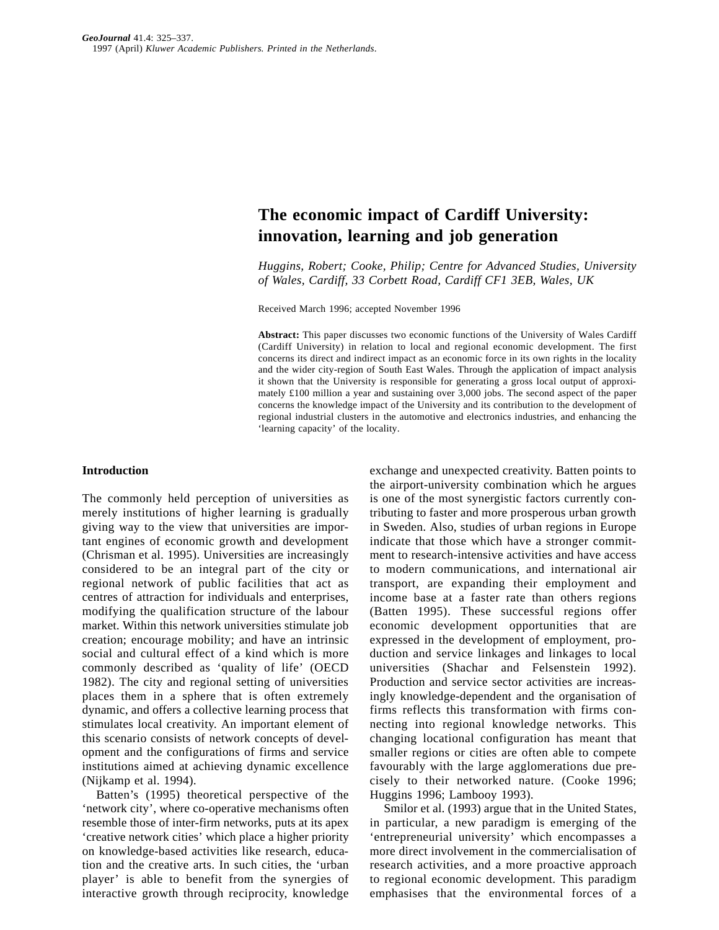# **The economic impact of Cardiff University: innovation, learning and job generation**

*Huggins, Robert; Cooke, Philip; Centre for Advanced Studies, University of Wales, Cardiff, 33 Corbett Road, Cardiff CF1 3EB, Wales, UK* 

Received March 1996; accepted November 1996

**Abstract:** This paper discusses two economic functions of the University of Wales Cardiff (Cardiff University) in relation to local and regional economic development. The first concerns its direct and indirect impact as an economic force in its own rights in the locality and the wider city-region of South East Wales. Through the application of impact analysis it shown that the University is responsible for generating a gross local output of approximately £100 million a year and sustaining over 3,000 jobs. The second aspect of the paper concerns the knowledge impact of the University and its contribution to the development of regional industrial clusters in the automotive and electronics industries, and enhancing the 'learning capacity' of the locality.

#### **Introduction**

The commonly held perception of universities as merely institutions of higher learning is gradually giving way to the view that universities are important engines of economic growth and development (Chrisman et al. 1995). Universities are increasingly considered to be an integral part of the city or regional network of public facilities that act as centres of attraction for individuals and enterprises, modifying the qualification structure of the labour market. Within this network universities stimulate job creation; encourage mobility; and have an intrinsic social and cultural effect of a kind which is more commonly described as 'quality of life' (OECD 1982). The city and regional setting of universities places them in a sphere that is often extremely dynamic, and offers a collective learning process that stimulates local creativity. An important element of this scenario consists of network concepts of development and the configurations of firms and service institutions aimed at achieving dynamic excellence (Nijkamp et al. 1994).

Batten's (1995) theoretical perspective of the 'network city', where co-operative mechanisms often resemble those of inter-firm networks, puts at its apex 'creative network cities' which place a higher priority on knowledge-based activities like research, education and the creative arts. In such cities, the 'urban player' is able to benefit from the synergies of interactive growth through reciprocity, knowledge

exchange and unexpected creativity. Batten points to the airport-university combination which he argues is one of the most synergistic factors currently contributing to faster and more prosperous urban growth in Sweden. Also, studies of urban regions in Europe indicate that those which have a stronger commitment to research-intensive activities and have access to modern communications, and international air transport, are expanding their employment and income base at a faster rate than others regions (Batten 1995). These successful regions offer economic development opportunities that are expressed in the development of employment, production and service linkages and linkages to local universities (Shachar and Felsenstein 1992). Production and service sector activities are increasingly knowledge-dependent and the organisation of firms reflects this transformation with firms connecting into regional knowledge networks. This changing locational configuration has meant that smaller regions or cities are often able to compete favourably with the large agglomerations due precisely to their networked nature. (Cooke 1996; Huggins 1996; Lambooy 1993).

Smilor et al. (1993) argue that in the United States, in particular, a new paradigm is emerging of the 'entrepreneurial university' which encompasses a more direct involvement in the commercialisation of research activities, and a more proactive approach to regional economic development. This paradigm emphasises that the environmental forces of a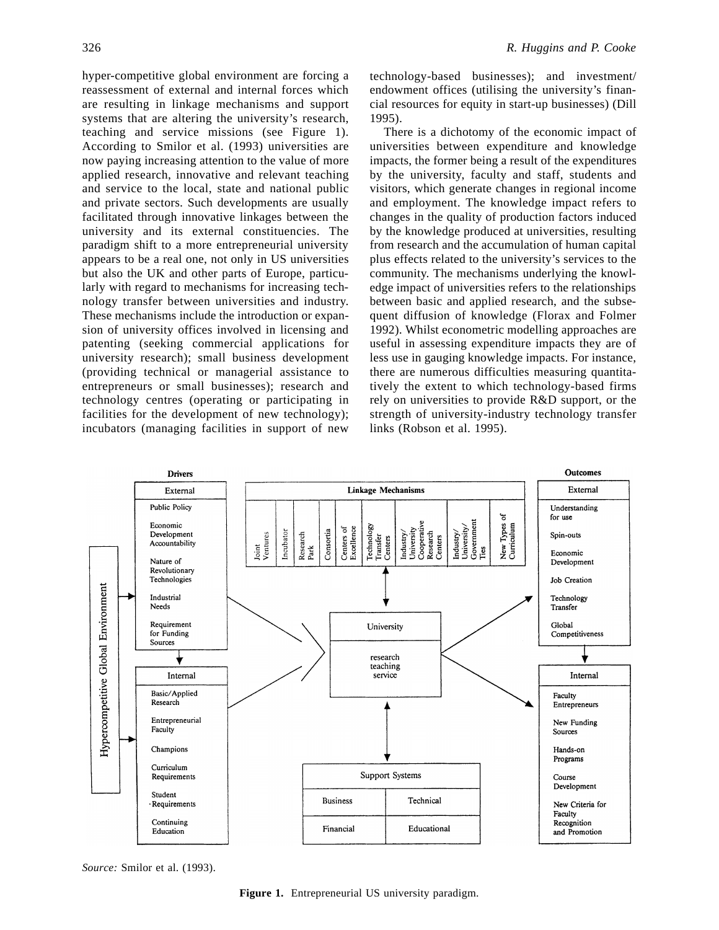hyper-competitive global environment are forcing a reassessment of external and internal forces which are resulting in linkage mechanisms and support systems that are altering the university's research, teaching and service missions (see Figure 1). According to Smilor et al. (1993) universities are now paying increasing attention to the value of more applied research, innovative and relevant teaching and service to the local, state and national public and private sectors. Such developments are usually facilitated through innovative linkages between the university and its external constituencies. The paradigm shift to a more entrepreneurial university appears to be a real one, not only in US universities but also the UK and other parts of Europe, particularly with regard to mechanisms for increasing technology transfer between universities and industry. These mechanisms include the introduction or expansion of university offices involved in licensing and patenting (seeking commercial applications for university research); small business development (providing technical or managerial assistance to entrepreneurs or small businesses); research and technology centres (operating or participating in facilities for the development of new technology); incubators (managing facilities in support of new

technology-based businesses); and investment/ endowment offices (utilising the university's financial resources for equity in start-up businesses) (Dill 1995).

There is a dichotomy of the economic impact of universities between expenditure and knowledge impacts, the former being a result of the expenditures by the university, faculty and staff, students and visitors, which generate changes in regional income and employment. The knowledge impact refers to changes in the quality of production factors induced by the knowledge produced at universities, resulting from research and the accumulation of human capital plus effects related to the university's services to the community. The mechanisms underlying the knowledge impact of universities refers to the relationships between basic and applied research, and the subsequent diffusion of knowledge (Florax and Folmer 1992). Whilst econometric modelling approaches are useful in assessing expenditure impacts they are of less use in gauging knowledge impacts. For instance, there are numerous difficulties measuring quantitatively the extent to which technology-based firms rely on universities to provide R&D support, or the strength of university-industry technology transfer links (Robson et al. 1995).



*Source:* Smilor et al. (1993).

**Figure 1.** Entrepreneurial US university paradigm.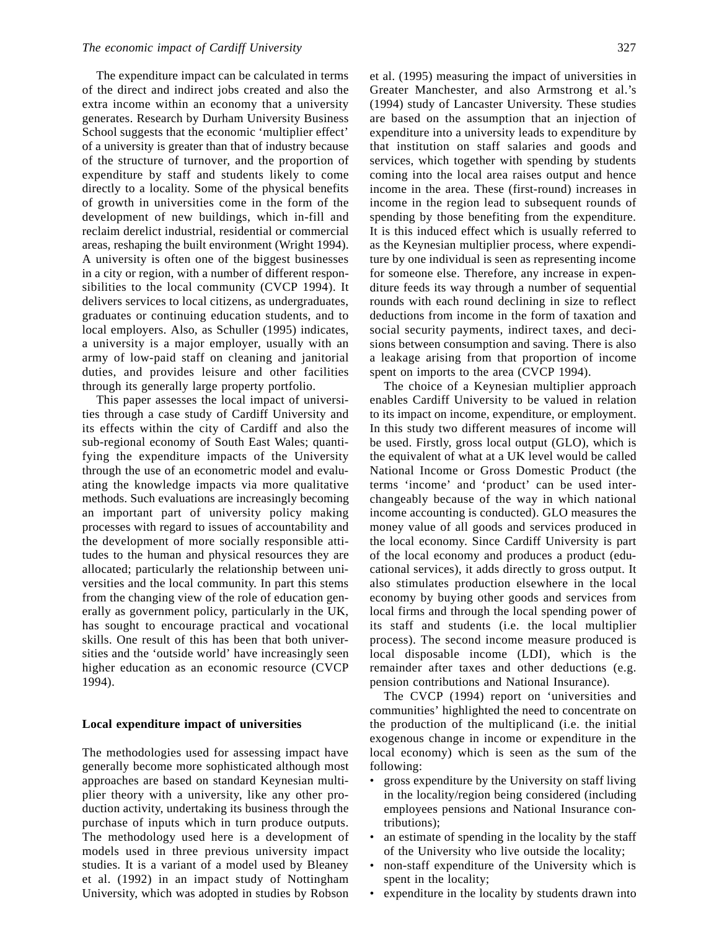The expenditure impact can be calculated in terms of the direct and indirect jobs created and also the extra income within an economy that a university generates. Research by Durham University Business School suggests that the economic 'multiplier effect' of a university is greater than that of industry because of the structure of turnover, and the proportion of expenditure by staff and students likely to come directly to a locality. Some of the physical benefits of growth in universities come in the form of the development of new buildings, which in-fill and reclaim derelict industrial, residential or commercial areas, reshaping the built environment (Wright 1994). A university is often one of the biggest businesses in a city or region, with a number of different responsibilities to the local community (CVCP 1994). It delivers services to local citizens, as undergraduates, graduates or continuing education students, and to local employers. Also, as Schuller (1995) indicates, a university is a major employer, usually with an army of low-paid staff on cleaning and janitorial duties, and provides leisure and other facilities through its generally large property portfolio.

This paper assesses the local impact of universities through a case study of Cardiff University and its effects within the city of Cardiff and also the sub-regional economy of South East Wales; quantifying the expenditure impacts of the University through the use of an econometric model and evaluating the knowledge impacts via more qualitative methods. Such evaluations are increasingly becoming an important part of university policy making processes with regard to issues of accountability and the development of more socially responsible attitudes to the human and physical resources they are allocated; particularly the relationship between universities and the local community. In part this stems from the changing view of the role of education generally as government policy, particularly in the UK, has sought to encourage practical and vocational skills. One result of this has been that both universities and the 'outside world' have increasingly seen higher education as an economic resource (CVCP 1994).

#### **Local expenditure impact of universities**

The methodologies used for assessing impact have generally become more sophisticated although most approaches are based on standard Keynesian multiplier theory with a university, like any other production activity, undertaking its business through the purchase of inputs which in turn produce outputs. The methodology used here is a development of models used in three previous university impact studies. It is a variant of a model used by Bleaney et al. (1992) in an impact study of Nottingham University, which was adopted in studies by Robson et al. (1995) measuring the impact of universities in Greater Manchester, and also Armstrong et al.'s (1994) study of Lancaster University. These studies are based on the assumption that an injection of expenditure into a university leads to expenditure by that institution on staff salaries and goods and services, which together with spending by students coming into the local area raises output and hence income in the area. These (first-round) increases in income in the region lead to subsequent rounds of spending by those benefiting from the expenditure. It is this induced effect which is usually referred to as the Keynesian multiplier process, where expenditure by one individual is seen as representing income for someone else. Therefore, any increase in expenditure feeds its way through a number of sequential rounds with each round declining in size to reflect deductions from income in the form of taxation and social security payments, indirect taxes, and decisions between consumption and saving. There is also a leakage arising from that proportion of income spent on imports to the area (CVCP 1994).

The choice of a Keynesian multiplier approach enables Cardiff University to be valued in relation to its impact on income, expenditure, or employment. In this study two different measures of income will be used. Firstly, gross local output (GLO), which is the equivalent of what at a UK level would be called National Income or Gross Domestic Product (the terms 'income' and 'product' can be used interchangeably because of the way in which national income accounting is conducted). GLO measures the money value of all goods and services produced in the local economy. Since Cardiff University is part of the local economy and produces a product (educational services), it adds directly to gross output. It also stimulates production elsewhere in the local economy by buying other goods and services from local firms and through the local spending power of its staff and students (i.e. the local multiplier process). The second income measure produced is local disposable income (LDI), which is the remainder after taxes and other deductions (e.g. pension contributions and National Insurance).

The CVCP (1994) report on 'universities and communities' highlighted the need to concentrate on the production of the multiplicand (i.e. the initial exogenous change in income or expenditure in the local economy) which is seen as the sum of the following:

- gross expenditure by the University on staff living in the locality/region being considered (including employees pensions and National Insurance contributions);
- an estimate of spending in the locality by the staff of the University who live outside the locality;
- non-staff expenditure of the University which is spent in the locality;
- expenditure in the locality by students drawn into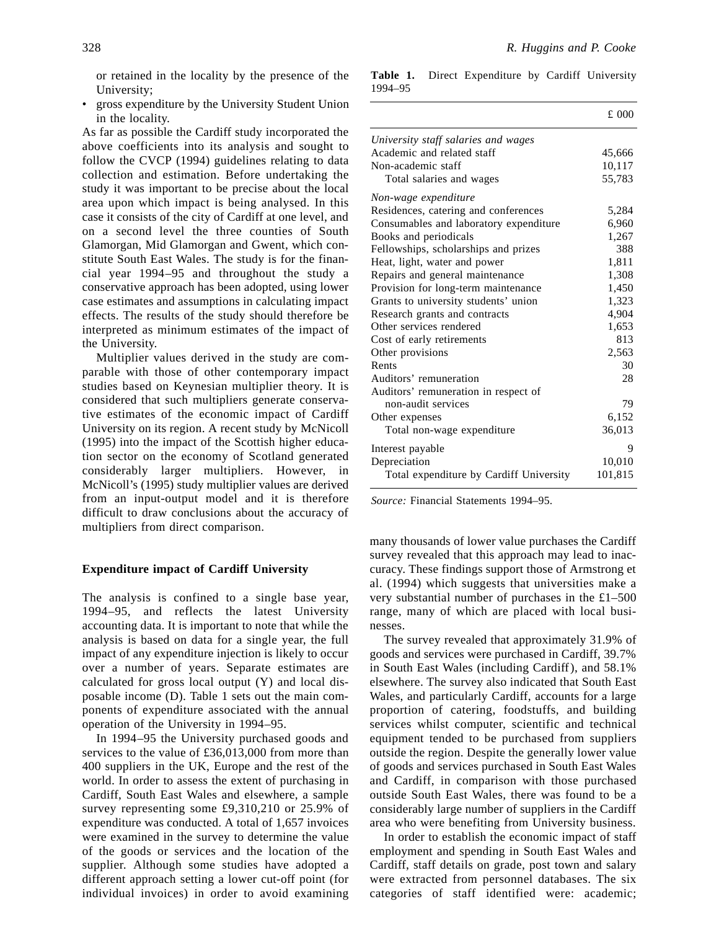or retained in the locality by the presence of the University;

• gross expenditure by the University Student Union in the locality.

As far as possible the Cardiff study incorporated the above coefficients into its analysis and sought to follow the CVCP (1994) guidelines relating to data collection and estimation. Before undertaking the study it was important to be precise about the local area upon which impact is being analysed. In this case it consists of the city of Cardiff at one level, and on a second level the three counties of South Glamorgan, Mid Glamorgan and Gwent, which constitute South East Wales. The study is for the financial year 1994–95 and throughout the study a conservative approach has been adopted, using lower case estimates and assumptions in calculating impact effects. The results of the study should therefore be interpreted as minimum estimates of the impact of the University.

Multiplier values derived in the study are comparable with those of other contemporary impact studies based on Keynesian multiplier theory. It is considered that such multipliers generate conservative estimates of the economic impact of Cardiff University on its region. A recent study by McNicoll (1995) into the impact of the Scottish higher education sector on the economy of Scotland generated considerably larger multipliers. However, in McNicoll's (1995) study multiplier values are derived from an input-output model and it is therefore difficult to draw conclusions about the accuracy of multipliers from direct comparison.

#### **Expenditure impact of Cardiff University**

The analysis is confined to a single base year, 1994–95, and reflects the latest University accounting data. It is important to note that while the analysis is based on data for a single year, the full impact of any expenditure injection is likely to occur over a number of years. Separate estimates are calculated for gross local output (Y) and local disposable income (D). Table 1 sets out the main components of expenditure associated with the annual operation of the University in 1994–95.

In 1994–95 the University purchased goods and services to the value of £36,013,000 from more than 400 suppliers in the UK, Europe and the rest of the world. In order to assess the extent of purchasing in Cardiff, South East Wales and elsewhere, a sample survey representing some £9,310,210 or 25.9% of expenditure was conducted. A total of 1,657 invoices were examined in the survey to determine the value of the goods or services and the location of the supplier. Although some studies have adopted a different approach setting a lower cut-off point (for individual invoices) in order to avoid examining

**Table 1.** Direct Expenditure by Cardiff University 1994–95

|                                         | £000    |
|-----------------------------------------|---------|
| University staff salaries and wages     |         |
| Academic and related staff              | 45,666  |
| Non-academic staff                      | 10,117  |
| Total salaries and wages                | 55,783  |
| Non-wage expenditure                    |         |
| Residences, catering and conferences    | 5,284   |
| Consumables and laboratory expenditure  | 6,960   |
| Books and periodicals                   | 1,267   |
| Fellowships, scholarships and prizes    | 388     |
| Heat, light, water and power            | 1,811   |
| Repairs and general maintenance         | 1,308   |
| Provision for long-term maintenance     | 1,450   |
| Grants to university students' union    | 1,323   |
| Research grants and contracts           | 4,904   |
| Other services rendered                 | 1,653   |
| Cost of early retirements               | 813     |
| Other provisions                        | 2,563   |
| Rents                                   | 30      |
| Auditors' remuneration                  | 28      |
| Auditors' remuneration in respect of    |         |
| non-audit services                      | 79      |
| Other expenses                          | 6,152   |
| Total non-wage expenditure              | 36,013  |
| Interest payable                        | 9       |
| Depreciation                            | 10,010  |
| Total expenditure by Cardiff University | 101,815 |

*Source:* Financial Statements 1994–95.

many thousands of lower value purchases the Cardiff survey revealed that this approach may lead to inaccuracy. These findings support those of Armstrong et al. (1994) which suggests that universities make a very substantial number of purchases in the £1–500 range, many of which are placed with local businesses.

The survey revealed that approximately 31.9% of goods and services were purchased in Cardiff, 39.7% in South East Wales (including Cardiff), and 58.1% elsewhere. The survey also indicated that South East Wales, and particularly Cardiff, accounts for a large proportion of catering, foodstuffs, and building services whilst computer, scientific and technical equipment tended to be purchased from suppliers outside the region. Despite the generally lower value of goods and services purchased in South East Wales and Cardiff, in comparison with those purchased outside South East Wales, there was found to be a considerably large number of suppliers in the Cardiff area who were benefiting from University business.

In order to establish the economic impact of staff employment and spending in South East Wales and Cardiff, staff details on grade, post town and salary were extracted from personnel databases. The six categories of staff identified were: academic;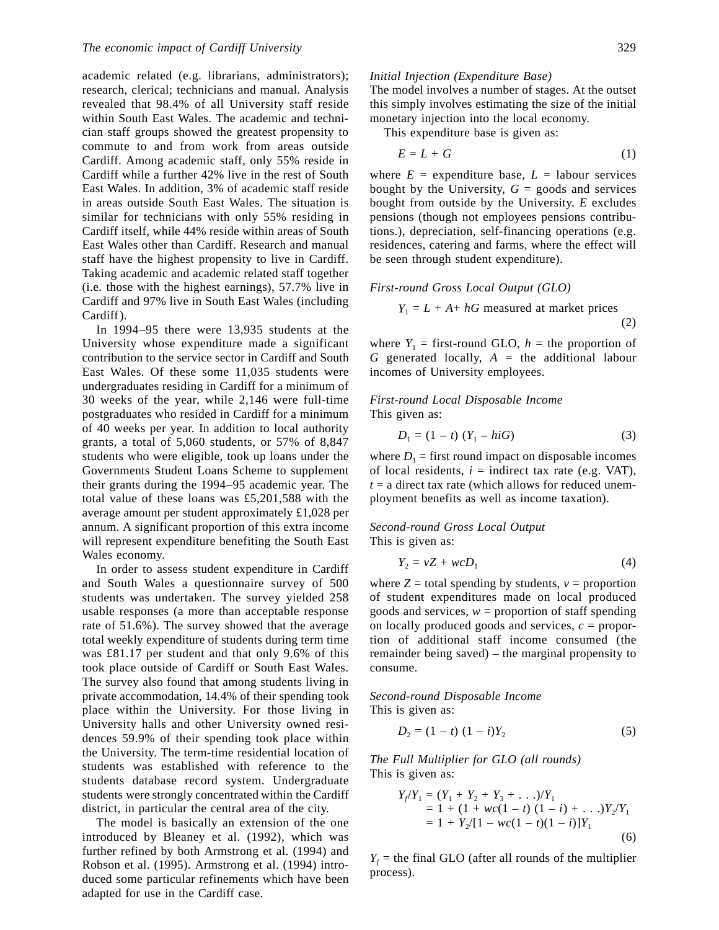academic related (e.g. librarians, administrators); research, clerical; technicians and manual. Analysis revealed that 98.4% of all University staff reside within South East Wales. The academic and technician staff groups showed the greatest propensity to commute to and from work from areas outside Cardiff. Among academic staff, only 55% reside in Cardiff while a further 42% live in the rest of South East Wales. In addition, 3% of academic staff reside in areas outside South East Wales. The situation is similar for technicians with only 55% residing in Cardiff itself, while 44% reside within areas of South East Wales other than Cardiff. Research and manual staff have the highest propensity to live in Cardiff. Taking academic and academic related staff together (i.e. those with the highest earnings), 57.7% live in Cardiff and 97% live in South East Wales (including Cardiff).

In 1994–95 there were 13,935 students at the University whose expenditure made a significant contribution to the service sector in Cardiff and South East Wales. Of these some 11,035 students were undergraduates residing in Cardiff for a minimum of 30 weeks of the year, while 2,146 were full-time postgraduates who resided in Cardiff for a minimum of 40 weeks per year. In addition to local authority grants, a total of 5,060 students, or 57% of 8,847 students who were eligible, took up loans under the Governments Student Loans Scheme to supplement their grants during the 1994–95 academic year. The total value of these loans was £5,201,588 with the average amount per student approximately £1,028 per annum. A significant proportion of this extra income will represent expenditure benefiting the South East Wales economy.

In order to assess student expenditure in Cardiff and South Wales a questionnaire survey of 500 students was undertaken. The survey yielded 258 usable responses (a more than acceptable response rate of 51.6%). The survey showed that the average total weekly expenditure of students during term time was £81.17 per student and that only 9.6% of this took place outside of Cardiff or South East Wales. The survey also found that among students living in private accommodation, 14.4% of their spending took place within the University. For those living in University halls and other University owned residences 59.9% of their spending took place within the University. The term-time residential location of students was established with reference to the students database record system. Undergraduate students were strongly concentrated within the Cardiff district, in particular the central area of the city.

The model is basically an extension of the one introduced by Bleaney et al. (1992), which was further refined by both Armstrong et al. (1994) and Robson et al. (1995). Armstrong et al. (1994) introduced some particular refinements which have been adapted for use in the Cardiff case.

### *Initial Injection (Expenditure Base)*

The model involves a number of stages. At the outset this simply involves estimating the size of the initial monetary injection into the local economy.

This expenditure base is given as:

$$
E = L + G \tag{1}
$$

where  $E =$  expenditure base,  $L =$  labour services bought by the University,  $G =$  goods and services bought from outside by the University. *E* excludes pensions (though not employees pensions contributions.), depreciation, self-financing operations (e.g. residences, catering and farms, where the effect will be seen through student expenditure).

*First-round Gross Local Output (GLO)*

$$
Y_1 = L + A + hG
$$
 measured at market prices (2)

where  $Y_1$  = first-round GLO,  $h$  = the proportion of *G* generated locally, *A* = the additional labour incomes of University employees.

*First-round Local Disposable Income* This given as:

$$
D_1 = (1 - t) (Y_1 - hiG)
$$
 (3)

where  $D_1$  = first round impact on disposable incomes of local residents,  $i =$  indirect tax rate (e.g. VAT),  $t = a$  direct tax rate (which allows for reduced unemployment benefits as well as income taxation).

## *Second-round Gross Local Output* This is given as:

$$
Y_2 = vZ + wcD_1 \tag{4}
$$

where  $Z =$  total spending by students,  $v =$  proportion of student expenditures made on local produced goods and services,  $w =$  proportion of staff spending on locally produced goods and services, *c* = proportion of additional staff income consumed (the remainder being saved) – the marginal propensity to consume.

*Second-round Disposable Income* This is given as:

$$
D_2 = (1 - t) (1 - i)Y_2
$$
 (5)

*The Full Multiplier for GLO (all rounds)* This is given as:

$$
Y_f/Y_1 = (Y_1 + Y_2 + Y_3 + \dots) / Y_1
$$
  
= 1 + (1 + wc(1 - t) (1 - i) + \dots)Y\_2/Y\_1  
= 1 + Y\_2/[1 - wc(1 - t)(1 - i)]Y\_1 (6)

 $Y_f$  = the final GLO (after all rounds of the multiplier process).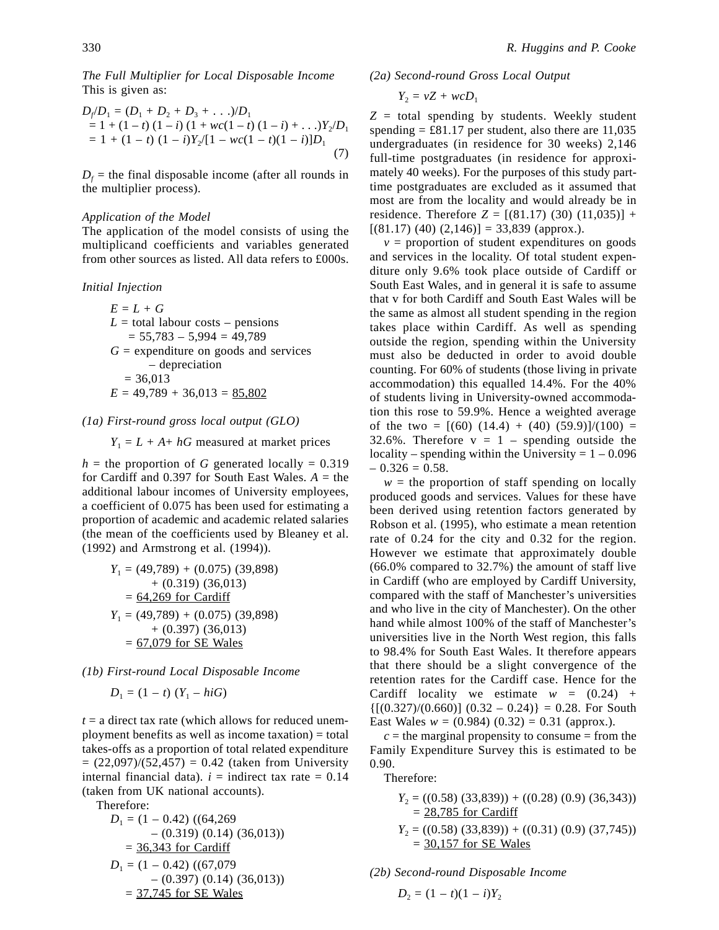*The Full Multiplier for Local Disposable Income* This is given as:

$$
D_f/D_1 = (D_1 + D_2 + D_3 + ...)/D_1
$$
  
= 1 + (1 - t) (1 - i) (1 + wc(1 - t) (1 - i) + ...)/2/D\_1  
= 1 + (1 - t) (1 - i)Y\_2/[1 - wc(1 - t)(1 - i)]D\_1 (7)

 $D_f$  = the final disposable income (after all rounds in the multiplier process).

#### *Application of the Model*

The application of the model consists of using the multiplicand coefficients and variables generated from other sources as listed. All data refers to £000s.

#### *Initial Injection*

$$
E = L + G
$$
  
\n
$$
L = \text{total labour costs} - \text{pensions}
$$
  
\n
$$
= 55,783 - 5,994 = 49,789
$$
  
\n
$$
G = \text{expenditure on goods and services}
$$
  
\n
$$
- \text{deprecision}
$$
  
\n
$$
= 36,013
$$
  
\n
$$
E = 49,789 + 36,013 = 85,802
$$

#### *(1a) First-round gross local output (GLO)*

 $Y_1 = L + A + hG$  measured at market prices

 $h =$  the proportion of *G* generated locally = 0.319 for Cardiff and  $0.397$  for South East Wales.  $A =$  the additional labour incomes of University employees, a coefficient of 0.075 has been used for estimating a proportion of academic and academic related salaries (the mean of the coefficients used by Bleaney et al. (1992) and Armstrong et al. (1994)).

$$
Y_1 = (49,789) + (0.075) (39,898)
$$
  
+ (0.319) (36,013)  
= 64,269 for Cardiff  

$$
Y_1 = (49,789) + (0.075) (39,898)
$$
  
+ (0.397) (36,013)  
= 67,079 for SE Wales

*(1b) First-round Local Disposable Income*

$$
D_1 = (1 - t) (Y_1 - hiG)
$$

 $t = a$  direct tax rate (which allows for reduced unemployment benefits as well as income taxation) = total takes-offs as a proportion of total related expenditure  $= (22,097)/(52,457) = 0.42$  (taken from University internal financial data).  $i =$  indirect tax rate  $= 0.14$ (taken from UK national accounts).

Therefore:

$$
D_1 = (1 - 0.42) ((64,269)
$$
  
- (0.319) (0.14) (36,013))  
= 36,343 for Cardiff  

$$
D_1 = (1 - 0.42) ((67,079)
$$
  
- (0.397) (0.14) (36,013))  
= 37,745 for SE Wales

*(2a) Second-round Gross Local Output*

$$
Y_2 = vZ + w cD_1
$$

*Z* = total spending by students. Weekly student spending  $= \pounds 81.17$  per student, also there are 11,035 undergraduates (in residence for 30 weeks) 2,146 full-time postgraduates (in residence for approximately 40 weeks). For the purposes of this study parttime postgraduates are excluded as it assumed that most are from the locality and would already be in residence. Therefore  $Z = [(81.17), (30), (11,035)] +$  $[(81.17) (40) (2,146)] = 33,839$  (approx.).

 $v =$  proportion of student expenditures on goods and services in the locality. Of total student expenditure only 9.6% took place outside of Cardiff or South East Wales, and in general it is safe to assume that v for both Cardiff and South East Wales will be the same as almost all student spending in the region takes place within Cardiff. As well as spending outside the region, spending within the University must also be deducted in order to avoid double counting. For 60% of students (those living in private accommodation) this equalled 14.4%. For the 40% of students living in University-owned accommodation this rose to 59.9%. Hence a weighted average of the two =  $[(60) (14.4) + (40) (59.9)]/(100)$  = 32.6%. Therefore  $v = 1$  – spending outside the locality – spending within the University  $= 1 - 0.096$  $-0.326 = 0.58$ .

 $w =$  the proportion of staff spending on locally produced goods and services. Values for these have been derived using retention factors generated by Robson et al. (1995), who estimate a mean retention rate of 0.24 for the city and 0.32 for the region. However we estimate that approximately double (66.0% compared to 32.7%) the amount of staff live in Cardiff (who are employed by Cardiff University, compared with the staff of Manchester's universities and who live in the city of Manchester). On the other hand while almost 100% of the staff of Manchester's universities live in the North West region, this falls to 98.4% for South East Wales. It therefore appears that there should be a slight convergence of the retention rates for the Cardiff case. Hence for the Cardiff locality we estimate  $w = (0.24) +$  ${[(0.327)/(0.660)] (0.32 - 0.24)} = 0.28$ . For South East Wales  $w = (0.984) (0.32) = 0.31$  (approx.).

 $c =$  the marginal propensity to consume  $=$  from the Family Expenditure Survey this is estimated to be 0.90.

Therefore:

- *Y*<sub>2</sub> = ((0.58) (33,839)) + ((0.28) (0.9) (36,343))  $= 28,785$  for Cardiff
- *Y*<sub>2</sub> = ((0.58) (33,839)) + ((0.31) (0.9) (37,745))  $= 30,157$  for SE Wales

*(2b) Second-round Disposable Income*

$$
D_2 = (1 - t)(1 - i)Y_2
$$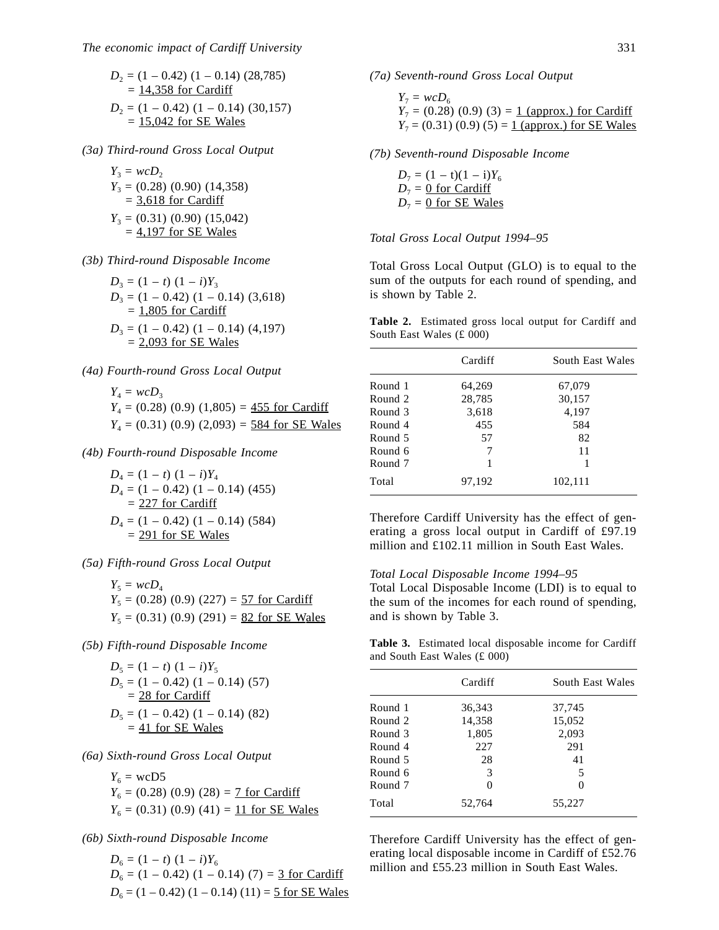$$
D_2 = (1 - 0.42) (1 - 0.14) (28,785)
$$
  
= 14,358 for Cardiff  

$$
D_2 = (1 - 0.42) (1 - 0.14) (30,157)
$$
  
= 15,042 for SE Wales

*(3a) Third-round Gross Local Output*

$$
Y_3 = wCD_2
$$
  
\n
$$
Y_3 = (0.28) (0.90) (14,358)
$$
  
\n
$$
= 3.618 \text{ for } \text{Cardiff}
$$
  
\n
$$
Y_3 = (0.31) (0.90) (15,042)
$$
  
\n
$$
= 4.197 \text{ for } \text{SE Wales}
$$

*(3b) Third-round Disposable Income*

$$
D_3 = (1 - t) (1 - i)Y_3
$$
  
\n
$$
D_3 = (1 - 0.42) (1 - 0.14) (3,618)
$$
  
\n
$$
= 1,805 \text{ for } \text{Cardiff}
$$
  
\n
$$
D_3 = (1 - 0.42) (1 - 0.14) (4,197)
$$
  
\n
$$
= 2,093 \text{ for } \text{SE Wales}
$$

#### *(4a) Fourth-round Gross Local Output*

$$
Y_4 = wcD_3
$$
  
 
$$
Y_4 = (0.28) (0.9) (1,805) = 455
$$
 for Cardiff  
 
$$
Y_4 = (0.31) (0.9) (2,093) = 584
$$
 for SE Wales

*(4b) Fourth-round Disposable Income*

$$
D_4 = (1 - t) (1 - i)Y_4
$$
  
\n
$$
D_4 = (1 - 0.42) (1 - 0.14) (455)
$$
  
\n
$$
= 227 \text{ for } \text{Cardiff}
$$
  
\n
$$
D_4 = (1 - 0.42) (1 - 0.14) (584)
$$
  
\n
$$
= 291 \text{ for } \text{SE Wales}
$$

*(5a) Fifth-round Gross Local Output*

$$
Y_5 = wcD_4
$$
  
 
$$
Y_5 = (0.28) (0.9) (227) = 57
$$
 for Cardiff  
 
$$
Y_5 = (0.31) (0.9) (291) = 82
$$
 for SE Wales

*(5b) Fifth-round Disposable Income*

$$
D_5 = (1 - t) (1 - i)Y_5
$$
  
\n
$$
D_5 = (1 - 0.42) (1 - 0.14) (57)
$$
  
\n
$$
= 28 \text{ for Cardiff}
$$
  
\n
$$
D_5 = (1 - 0.42) (1 - 0.14) (82)
$$
  
\n
$$
= 41 \text{ for SE Wales}
$$

#### *(6a) Sixth-round Gross Local Output*

 $Y_6$  = wcD5  $Y_6 = (0.28) (0.9) (28) = 7$  for Cardiff  $Y_6 = (0.31) (0.9) (41) = 11$  for SE Wales

## *(6b) Sixth-round Disposable Income*

 $D_6 = (1 - t) (1 - i)Y_6$  $D_6 = (1 - 0.42) (1 - 0.14) (7) = 3$  for Cardiff  $D_6 = (1 - 0.42) (1 - 0.14) (11) = 5$  for SE Wales *(7a) Seventh-round Gross Local Output*

$$
Y_7 = wcD_6
$$
  
\n $Y_7 = (0.28) (0.9) (3) = 1$  (approx.) for Cardiff  
\n $Y_7 = (0.31) (0.9) (5) = 1$  (approx.) for SE Wales

*(7b) Seventh-round Disposable Income*

 $D_7 = (1 - t)(1 - i)Y_6$  $D_7 = 0$  for Cardiff  $D_7 = 0$  for SE Wales

#### *Total Gross Local Output 1994–95*

Total Gross Local Output (GLO) is to equal to the sum of the outputs for each round of spending, and is shown by Table 2.

**Table 2.** Estimated gross local output for Cardiff and South East Wales (£ 000)

|         | Cardiff | South East Wales |
|---------|---------|------------------|
| Round 1 | 64,269  | 67,079           |
| Round 2 | 28,785  | 30,157           |
| Round 3 | 3,618   | 4,197            |
| Round 4 | 455     | 584              |
| Round 5 | 57      | 82               |
| Round 6 |         | 11               |
| Round 7 |         | 1                |
| Total   | 97,192  | 102,111          |

Therefore Cardiff University has the effect of generating a gross local output in Cardiff of £97.19 million and £102.11 million in South East Wales.

#### *Total Local Disposable Income 1994–95*

Total Local Disposable Income (LDI) is to equal to the sum of the incomes for each round of spending, and is shown by Table 3.

**Table 3.** Estimated local disposable income for Cardiff and South East Wales (£ 000)

|         | Cardiff | South East Wales |
|---------|---------|------------------|
| Round 1 | 36,343  | 37,745           |
| Round 2 | 14,358  | 15,052           |
| Round 3 | 1,805   | 2,093            |
| Round 4 | 227     | 291              |
| Round 5 | 28      | 41               |
| Round 6 | 3       | 5                |
| Round 7 | 0       |                  |
| Total   | 52,764  | 55,227           |

Therefore Cardiff University has the effect of generating local disposable income in Cardiff of £52.76 million and £55.23 million in South East Wales.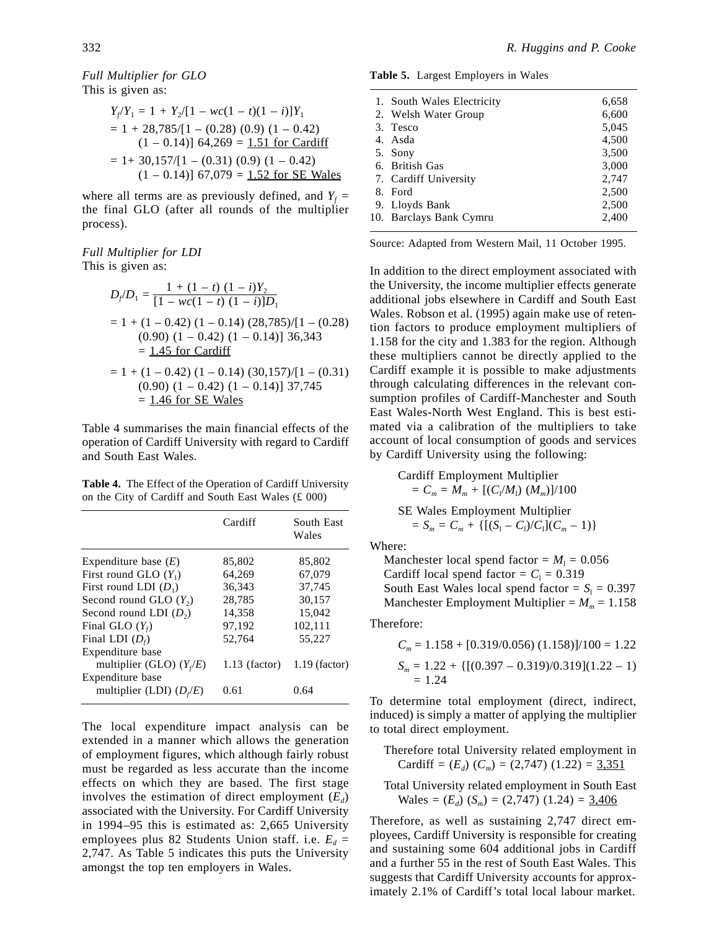*Full Multiplier for GLO* This is given as:

$$
Y_f/Y_1 = 1 + Y_2/[1 - wc(1 - t)(1 - i)]Y_1
$$
  
= 1 + 28,785/[1 - (0.28) (0.9) (1 - 0.42)  
(1 - 0.14)] 64,269 = 1.51 for Cardiff  
= 1+ 30,157/[1 - (0.31) (0.9) (1 - 0.42)  
(1 - 0.14)] 67,079 = 1.52 for SE Wales

where all terms are as previously defined, and  $Y_f =$ the final GLO (after all rounds of the multiplier process).

#### *Full Multiplier for LDI* This is given as:

$$
D_f/D_1 = \frac{1 + (1 - t) (1 - i)Y_2}{[1 - wc(1 - t) (1 - i)]D_1}
$$
  
= 1 + (1 - 0.42) (1 - 0.14) (28,785)/[1 - (0.28)  
(0.90) (1 - 0.42) (1 - 0.14)] 36,343  
= 1.45 for Cardiff  
= 1 + (1 - 0.42) (1 - 0.14) (30,157)/[1 - (0.31)  
(0.90) (1 - 0.42) (1 - 0.14)] 37,745  
= 1.46 for SE Wales

Table 4 summarises the main financial effects of the operation of Cardiff University with regard to Cardiff and South East Wales.

**Table 4.** The Effect of the Operation of Cardiff University on the City of Cardiff and South East Wales (£ 000)

|                            | Cardiff         | South East<br>Wales |
|----------------------------|-----------------|---------------------|
| Expenditure base $(E)$     | 85,802          | 85,802              |
| First round GLO $(Y_1)$    | 64,269          | 67,079              |
| First round LDI $(D_1)$    | 36,343          | 37,745              |
| Second round GLO $(Y_2)$   | 28,785          | 30,157              |
| Second round LDI $(D_2)$   | 14,358          | 15.042              |
| Final GLO $(Y_f)$          | 97,192          | 102,111             |
| Final LDI $(D_f)$          | 52,764          | 55.227              |
| Expenditure base           |                 |                     |
| multiplier (GLO) $(Y_i/E)$ | $1.13$ (factor) | $1.19$ (factor)     |
| Expenditure base           |                 |                     |
| multiplier (LDI) $(D_f/E)$ | 0.61            | 0.64                |

The local expenditure impact analysis can be extended in a manner which allows the generation of employment figures, which although fairly robust must be regarded as less accurate than the income effects on which they are based. The first stage involves the estimation of direct employment  $(E_d)$ associated with the University. For Cardiff University in 1994–95 this is estimated as: 2,665 University employees plus 82 Students Union staff. i.e.  $E_d$  = 2,747. As Table 5 indicates this puts the University amongst the top ten employers in Wales.

**Table 5.** Largest Employers in Wales

| 1. South Wales Electricity | 6,658 |
|----------------------------|-------|
| 2. Welsh Water Group       | 6,600 |
| 3. Tesco                   | 5,045 |
| 4. Asda                    | 4,500 |
| 5. Sony                    | 3,500 |
| 6. British Gas             | 3,000 |
| 7. Cardiff University      | 2,747 |
| 8. Ford                    | 2,500 |
| 9. Lloyds Bank             | 2,500 |
| 10. Barclays Bank Cymru    | 2,400 |
|                            |       |

Source: Adapted from Western Mail, 11 October 1995.

In addition to the direct employment associated with the University, the income multiplier effects generate additional jobs elsewhere in Cardiff and South East Wales. Robson et al. (1995) again make use of retention factors to produce employment multipliers of 1.158 for the city and 1.383 for the region. Although these multipliers cannot be directly applied to the Cardiff example it is possible to make adjustments through calculating differences in the relevant consumption profiles of Cardiff-Manchester and South East Wales-North West England. This is best estimated via a calibration of the multipliers to take account of local consumption of goods and services by Cardiff University using the following:

Cardiff Employment Multiplier  
= 
$$
C_m = M_m + [(C_l/M_l) (M_m)]/100
$$

SE Wales Employment Multiplier  
= 
$$
S_m = C_m + \{[(S_1 - C_1)/C_1](C_m - 1)\}
$$

Where:

Manchester local spend factor =  $M_1$  = 0.056 Cardiff local spend factor =  $C_1$  = 0.319 South East Wales local spend factor =  $S_1 = 0.397$ Manchester Employment Multiplier =  $M_m$  = 1.158

Therefore:

$$
C_m = 1.158 + [0.319/0.056) (1.158)]/100 = 1.22
$$
  
\n
$$
S_m = 1.22 + \{[(0.397 - 0.319)/0.319](1.22 - 1) = 1.24
$$

To determine total employment (direct, indirect, induced) is simply a matter of applying the multiplier to total direct employment.

Therefore total University related employment in Cardiff =  $(E_d)$   $(C_m)$  = (2,747) (1.22) = 3,351

Total University related employment in South East Wales =  $(E_d)$   $(S_m)$  = (2,747) (1.24) =  $\frac{3,406}{3}$ 

Therefore, as well as sustaining 2,747 direct employees, Cardiff University is responsible for creating and sustaining some 604 additional jobs in Cardiff and a further 55 in the rest of South East Wales. This suggests that Cardiff University accounts for approximately 2.1% of Cardiff's total local labour market.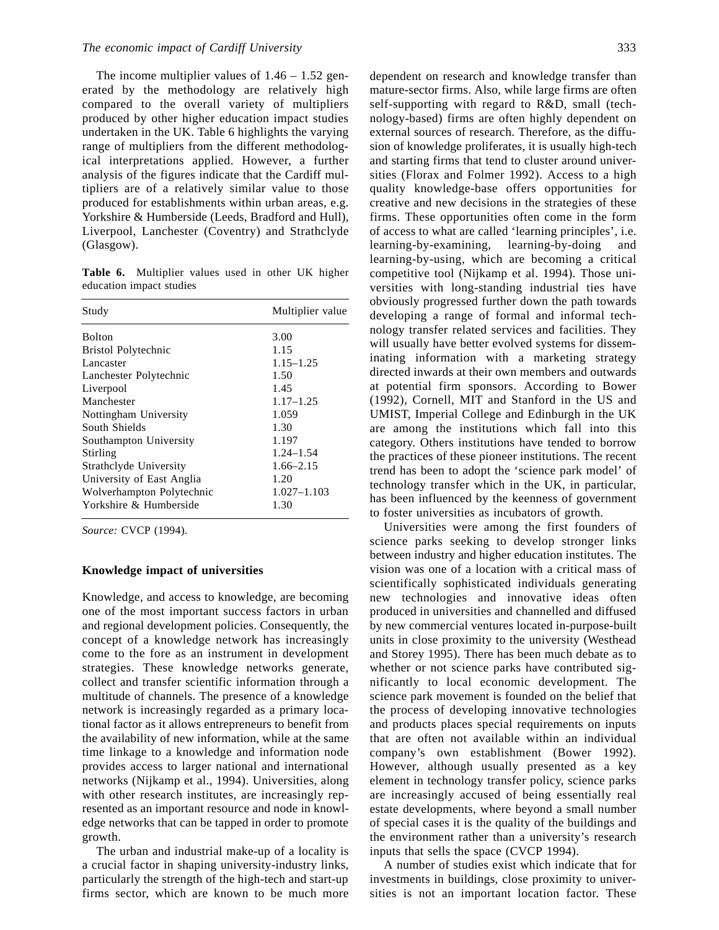The income multiplier values of  $1.46 - 1.52$  generated by the methodology are relatively high compared to the overall variety of multipliers produced by other higher education impact studies undertaken in the UK. Table 6 highlights the varying range of multipliers from the different methodological interpretations applied. However, a further analysis of the figures indicate that the Cardiff multipliers are of a relatively similar value to those produced for establishments within urban areas, e.g. Yorkshire & Humberside (Leeds, Bradford and Hull), Liverpool, Lanchester (Coventry) and Strathclyde (Glasgow).

**Table 6.** Multiplier values used in other UK higher education impact studies

| Study                     | Multiplier value |
|---------------------------|------------------|
| <b>Bolton</b>             | 3.00             |
| Bristol Polytechnic       | 1.15             |
| Lancaster                 | $1.15 - 1.25$    |
| Lanchester Polytechnic    | 1.50             |
| Liverpool                 | 1.45             |
| Manchester                | $1.17 - 1.25$    |
| Nottingham University     | 1.059            |
| South Shields             | 1.30             |
| Southampton University    | 1.197            |
| Stirling                  | $1.24 - 1.54$    |
| Strathclyde University    | $1.66 - 2.15$    |
| University of East Anglia | 1.20             |
| Wolverhampton Polytechnic | $1.027 - 1.103$  |
| Yorkshire & Humberside    | 1.30             |

*Source:* CVCP (1994).

#### **Knowledge impact of universities**

Knowledge, and access to knowledge, are becoming one of the most important success factors in urban and regional development policies. Consequently, the concept of a knowledge network has increasingly come to the fore as an instrument in development strategies. These knowledge networks generate, collect and transfer scientific information through a multitude of channels. The presence of a knowledge network is increasingly regarded as a primary locational factor as it allows entrepreneurs to benefit from the availability of new information, while at the same time linkage to a knowledge and information node provides access to larger national and international networks (Nijkamp et al., 1994). Universities, along with other research institutes, are increasingly represented as an important resource and node in knowledge networks that can be tapped in order to promote growth.

The urban and industrial make-up of a locality is a crucial factor in shaping university-industry links, particularly the strength of the high-tech and start-up firms sector, which are known to be much more dependent on research and knowledge transfer than mature-sector firms. Also, while large firms are often self-supporting with regard to R&D, small (technology-based) firms are often highly dependent on external sources of research. Therefore, as the diffusion of knowledge proliferates, it is usually high-tech and starting firms that tend to cluster around universities (Florax and Folmer 1992). Access to a high quality knowledge-base offers opportunities for creative and new decisions in the strategies of these firms. These opportunities often come in the form of access to what are called 'learning principles', i.e. learning-by-examining, learning-by-doing and learning-by-using, which are becoming a critical competitive tool (Nijkamp et al. 1994). Those universities with long-standing industrial ties have obviously progressed further down the path towards developing a range of formal and informal technology transfer related services and facilities. They will usually have better evolved systems for disseminating information with a marketing strategy directed inwards at their own members and outwards at potential firm sponsors. According to Bower (1992), Cornell, MIT and Stanford in the US and UMIST, Imperial College and Edinburgh in the UK are among the institutions which fall into this category. Others institutions have tended to borrow the practices of these pioneer institutions. The recent trend has been to adopt the 'science park model' of technology transfer which in the UK, in particular, has been influenced by the keenness of government to foster universities as incubators of growth.

Universities were among the first founders of science parks seeking to develop stronger links between industry and higher education institutes. The vision was one of a location with a critical mass of scientifically sophisticated individuals generating new technologies and innovative ideas often produced in universities and channelled and diffused by new commercial ventures located in-purpose-built units in close proximity to the university (Westhead and Storey 1995). There has been much debate as to whether or not science parks have contributed significantly to local economic development. The science park movement is founded on the belief that the process of developing innovative technologies and products places special requirements on inputs that are often not available within an individual company's own establishment (Bower 1992). However, although usually presented as a key element in technology transfer policy, science parks are increasingly accused of being essentially real estate developments, where beyond a small number of special cases it is the quality of the buildings and the environment rather than a university's research inputs that sells the space (CVCP 1994).

A number of studies exist which indicate that for investments in buildings, close proximity to universities is not an important location factor. These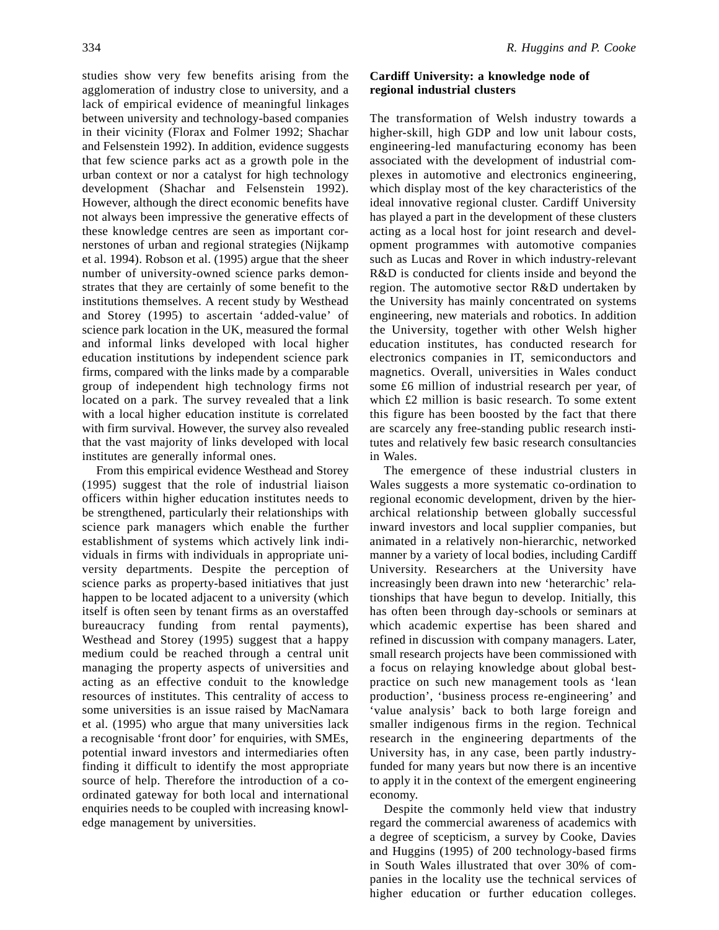studies show very few benefits arising from the agglomeration of industry close to university, and a lack of empirical evidence of meaningful linkages between university and technology-based companies in their vicinity (Florax and Folmer 1992; Shachar and Felsenstein 1992). In addition, evidence suggests that few science parks act as a growth pole in the urban context or nor a catalyst for high technology development (Shachar and Felsenstein 1992). However, although the direct economic benefits have not always been impressive the generative effects of these knowledge centres are seen as important cornerstones of urban and regional strategies (Nijkamp et al. 1994). Robson et al. (1995) argue that the sheer number of university-owned science parks demonstrates that they are certainly of some benefit to the institutions themselves. A recent study by Westhead and Storey (1995) to ascertain 'added-value' of science park location in the UK, measured the formal and informal links developed with local higher education institutions by independent science park firms, compared with the links made by a comparable group of independent high technology firms not located on a park. The survey revealed that a link with a local higher education institute is correlated with firm survival. However, the survey also revealed that the vast majority of links developed with local institutes are generally informal ones.

From this empirical evidence Westhead and Storey (1995) suggest that the role of industrial liaison officers within higher education institutes needs to be strengthened, particularly their relationships with science park managers which enable the further establishment of systems which actively link individuals in firms with individuals in appropriate university departments. Despite the perception of science parks as property-based initiatives that just happen to be located adjacent to a university (which itself is often seen by tenant firms as an overstaffed bureaucracy funding from rental payments), Westhead and Storey (1995) suggest that a happy medium could be reached through a central unit managing the property aspects of universities and acting as an effective conduit to the knowledge resources of institutes. This centrality of access to some universities is an issue raised by MacNamara et al. (1995) who argue that many universities lack a recognisable 'front door' for enquiries, with SMEs, potential inward investors and intermediaries often finding it difficult to identify the most appropriate source of help. Therefore the introduction of a coordinated gateway for both local and international enquiries needs to be coupled with increasing knowledge management by universities.

## **Cardiff University: a knowledge node of regional industrial clusters**

The transformation of Welsh industry towards a higher-skill, high GDP and low unit labour costs, engineering-led manufacturing economy has been associated with the development of industrial complexes in automotive and electronics engineering, which display most of the key characteristics of the ideal innovative regional cluster. Cardiff University has played a part in the development of these clusters acting as a local host for joint research and development programmes with automotive companies such as Lucas and Rover in which industry-relevant R&D is conducted for clients inside and beyond the region. The automotive sector R&D undertaken by the University has mainly concentrated on systems engineering, new materials and robotics. In addition the University, together with other Welsh higher education institutes, has conducted research for electronics companies in IT, semiconductors and magnetics. Overall, universities in Wales conduct some £6 million of industrial research per year, of which £2 million is basic research. To some extent this figure has been boosted by the fact that there are scarcely any free-standing public research institutes and relatively few basic research consultancies in Wales.

The emergence of these industrial clusters in Wales suggests a more systematic co-ordination to regional economic development, driven by the hierarchical relationship between globally successful inward investors and local supplier companies, but animated in a relatively non-hierarchic, networked manner by a variety of local bodies, including Cardiff University. Researchers at the University have increasingly been drawn into new 'heterarchic' relationships that have begun to develop. Initially, this has often been through day-schools or seminars at which academic expertise has been shared and refined in discussion with company managers. Later, small research projects have been commissioned with a focus on relaying knowledge about global bestpractice on such new management tools as 'lean production', 'business process re-engineering' and 'value analysis' back to both large foreign and smaller indigenous firms in the region. Technical research in the engineering departments of the University has, in any case, been partly industryfunded for many years but now there is an incentive to apply it in the context of the emergent engineering economy.

Despite the commonly held view that industry regard the commercial awareness of academics with a degree of scepticism, a survey by Cooke, Davies and Huggins (1995) of 200 technology-based firms in South Wales illustrated that over 30% of companies in the locality use the technical services of higher education or further education colleges.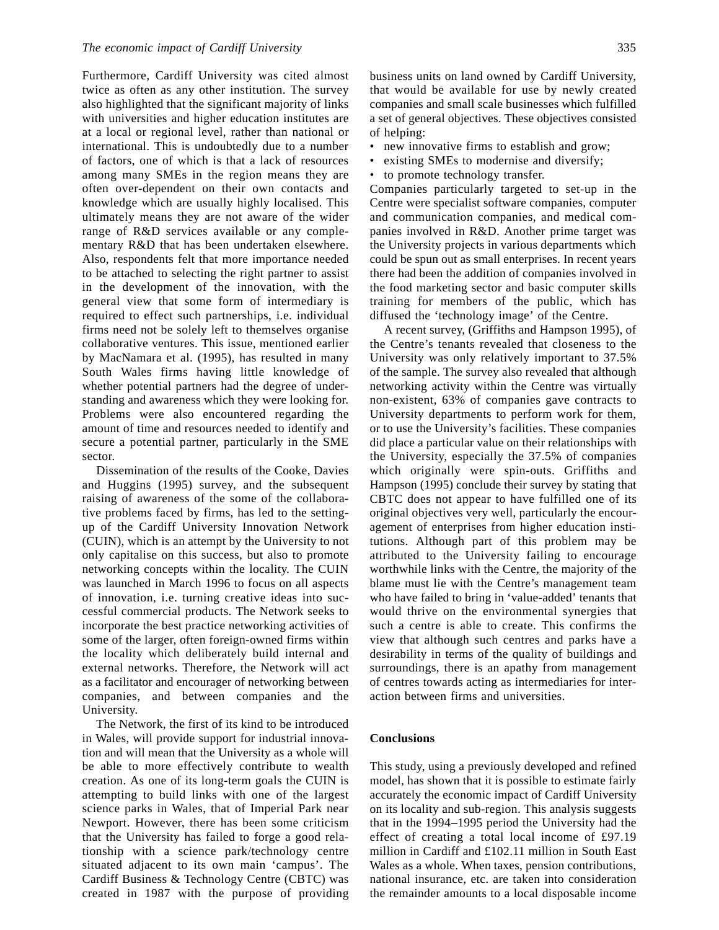Furthermore, Cardiff University was cited almost twice as often as any other institution. The survey also highlighted that the significant majority of links with universities and higher education institutes are at a local or regional level, rather than national or international. This is undoubtedly due to a number of factors, one of which is that a lack of resources among many SMEs in the region means they are often over-dependent on their own contacts and knowledge which are usually highly localised. This ultimately means they are not aware of the wider range of R&D services available or any complementary R&D that has been undertaken elsewhere. Also, respondents felt that more importance needed to be attached to selecting the right partner to assist in the development of the innovation, with the general view that some form of intermediary is required to effect such partnerships, i.e. individual firms need not be solely left to themselves organise collaborative ventures. This issue, mentioned earlier by MacNamara et al. (1995), has resulted in many South Wales firms having little knowledge of whether potential partners had the degree of understanding and awareness which they were looking for. Problems were also encountered regarding the amount of time and resources needed to identify and secure a potential partner, particularly in the SME sector.

Dissemination of the results of the Cooke, Davies and Huggins (1995) survey, and the subsequent raising of awareness of the some of the collaborative problems faced by firms, has led to the settingup of the Cardiff University Innovation Network (CUIN), which is an attempt by the University to not only capitalise on this success, but also to promote networking concepts within the locality. The CUIN was launched in March 1996 to focus on all aspects of innovation, i.e. turning creative ideas into successful commercial products. The Network seeks to incorporate the best practice networking activities of some of the larger, often foreign-owned firms within the locality which deliberately build internal and external networks. Therefore, the Network will act as a facilitator and encourager of networking between companies, and between companies and the University.

The Network, the first of its kind to be introduced in Wales, will provide support for industrial innovation and will mean that the University as a whole will be able to more effectively contribute to wealth creation. As one of its long-term goals the CUIN is attempting to build links with one of the largest science parks in Wales, that of Imperial Park near Newport. However, there has been some criticism that the University has failed to forge a good relationship with a science park/technology centre situated adjacent to its own main 'campus'. The Cardiff Business & Technology Centre (CBTC) was created in 1987 with the purpose of providing business units on land owned by Cardiff University, that would be available for use by newly created companies and small scale businesses which fulfilled a set of general objectives. These objectives consisted of helping:

- new innovative firms to establish and grow;
- existing SMEs to modernise and diversify;
- to promote technology transfer.

Companies particularly targeted to set-up in the Centre were specialist software companies, computer and communication companies, and medical companies involved in R&D. Another prime target was the University projects in various departments which could be spun out as small enterprises. In recent years there had been the addition of companies involved in the food marketing sector and basic computer skills training for members of the public, which has diffused the 'technology image' of the Centre.

A recent survey, (Griffiths and Hampson 1995), of the Centre's tenants revealed that closeness to the University was only relatively important to 37.5% of the sample. The survey also revealed that although networking activity within the Centre was virtually non-existent, 63% of companies gave contracts to University departments to perform work for them, or to use the University's facilities. These companies did place a particular value on their relationships with the University, especially the 37.5% of companies which originally were spin-outs. Griffiths and Hampson (1995) conclude their survey by stating that CBTC does not appear to have fulfilled one of its original objectives very well, particularly the encouragement of enterprises from higher education institutions. Although part of this problem may be attributed to the University failing to encourage worthwhile links with the Centre, the majority of the blame must lie with the Centre's management team who have failed to bring in 'value-added' tenants that would thrive on the environmental synergies that such a centre is able to create. This confirms the view that although such centres and parks have a desirability in terms of the quality of buildings and surroundings, there is an apathy from management of centres towards acting as intermediaries for interaction between firms and universities.

#### **Conclusions**

This study, using a previously developed and refined model, has shown that it is possible to estimate fairly accurately the economic impact of Cardiff University on its locality and sub-region. This analysis suggests that in the 1994–1995 period the University had the effect of creating a total local income of £97.19 million in Cardiff and £102.11 million in South East Wales as a whole. When taxes, pension contributions, national insurance, etc. are taken into consideration the remainder amounts to a local disposable income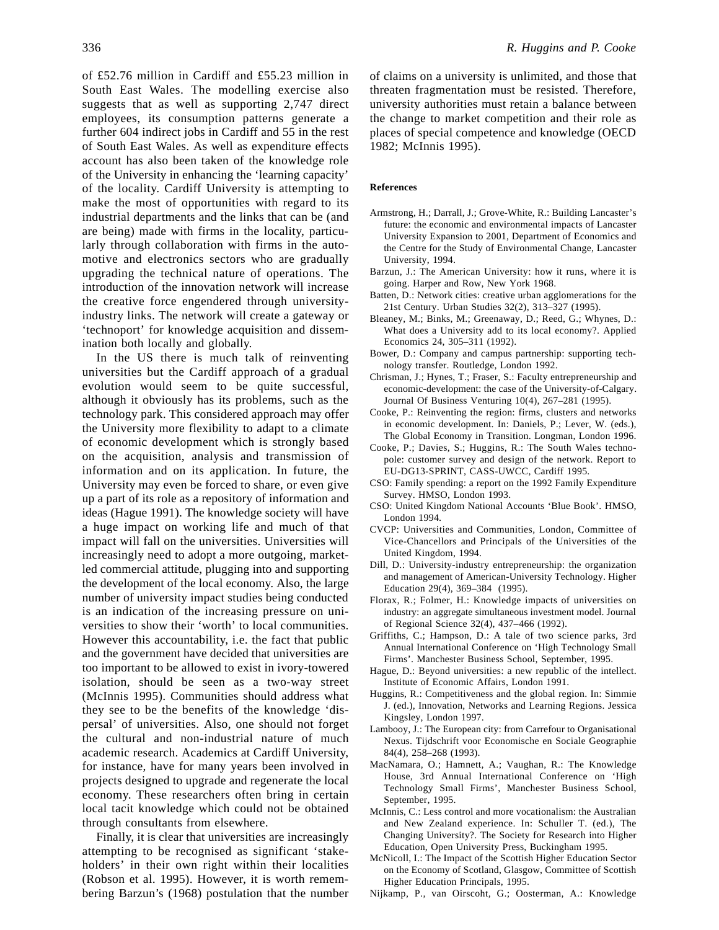of £52.76 million in Cardiff and £55.23 million in South East Wales. The modelling exercise also suggests that as well as supporting 2,747 direct employees, its consumption patterns generate a further 604 indirect jobs in Cardiff and 55 in the rest of South East Wales. As well as expenditure effects account has also been taken of the knowledge role of the University in enhancing the 'learning capacity' of the locality. Cardiff University is attempting to make the most of opportunities with regard to its industrial departments and the links that can be (and are being) made with firms in the locality, particularly through collaboration with firms in the automotive and electronics sectors who are gradually upgrading the technical nature of operations. The introduction of the innovation network will increase the creative force engendered through universityindustry links. The network will create a gateway or 'technoport' for knowledge acquisition and dissemination both locally and globally.

In the US there is much talk of reinventing universities but the Cardiff approach of a gradual evolution would seem to be quite successful, although it obviously has its problems, such as the technology park. This considered approach may offer the University more flexibility to adapt to a climate of economic development which is strongly based on the acquisition, analysis and transmission of information and on its application. In future, the University may even be forced to share, or even give up a part of its role as a repository of information and ideas (Hague 1991). The knowledge society will have a huge impact on working life and much of that impact will fall on the universities. Universities will increasingly need to adopt a more outgoing, marketled commercial attitude, plugging into and supporting the development of the local economy. Also, the large number of university impact studies being conducted is an indication of the increasing pressure on universities to show their 'worth' to local communities. However this accountability, i.e. the fact that public and the government have decided that universities are too important to be allowed to exist in ivory-towered isolation, should be seen as a two-way street (McInnis 1995). Communities should address what they see to be the benefits of the knowledge 'dispersal' of universities. Also, one should not forget the cultural and non-industrial nature of much academic research. Academics at Cardiff University, for instance, have for many years been involved in projects designed to upgrade and regenerate the local economy. These researchers often bring in certain local tacit knowledge which could not be obtained through consultants from elsewhere.

Finally, it is clear that universities are increasingly attempting to be recognised as significant 'stakeholders' in their own right within their localities (Robson et al. 1995). However, it is worth remembering Barzun's (1968) postulation that the number of claims on a university is unlimited, and those that threaten fragmentation must be resisted. Therefore, university authorities must retain a balance between the change to market competition and their role as places of special competence and knowledge (OECD 1982; McInnis 1995).

#### **References**

- Armstrong, H.; Darrall, J.; Grove-White, R.: Building Lancaster's future: the economic and environmental impacts of Lancaster University Expansion to 2001, Department of Economics and the Centre for the Study of Environmental Change, Lancaster University, 1994.
- Barzun, J.: The American University: how it runs, where it is going. Harper and Row, New York 1968.
- Batten, D.: Network cities: creative urban agglomerations for the 21st Century. Urban Studies 32(2), 313–327 (1995).
- Bleaney, M.; Binks, M.; Greenaway, D.; Reed, G.; Whynes, D.: What does a University add to its local economy?. Applied Economics 24, 305–311 (1992).
- Bower, D.: Company and campus partnership: supporting technology transfer. Routledge, London 1992.
- Chrisman, J.; Hynes, T.; Fraser, S.: Faculty entrepreneurship and economic-development: the case of the University-of-Calgary. Journal Of Business Venturing 10(4), 267–281 (1995).
- Cooke, P.: Reinventing the region: firms, clusters and networks in economic development. In: Daniels, P.; Lever, W. (eds.), The Global Economy in Transition. Longman, London 1996.
- Cooke, P.; Davies, S.; Huggins, R.: The South Wales technopole: customer survey and design of the network. Report to EU-DG13-SPRINT, CASS-UWCC, Cardiff 1995.
- CSO: Family spending: a report on the 1992 Family Expenditure Survey. HMSO, London 1993.
- CSO: United Kingdom National Accounts 'Blue Book'. HMSO, London 1994.
- CVCP: Universities and Communities, London, Committee of Vice-Chancellors and Principals of the Universities of the United Kingdom, 1994.
- Dill, D.: University-industry entrepreneurship: the organization and management of American-University Technology. Higher Education 29(4), 369–384 (1995).
- Florax, R.; Folmer, H.: Knowledge impacts of universities on industry: an aggregate simultaneous investment model. Journal of Regional Science 32(4), 437–466 (1992).
- Griffiths, C.; Hampson, D.: A tale of two science parks, 3rd Annual International Conference on 'High Technology Small Firms'. Manchester Business School, September, 1995.
- Hague, D.: Beyond universities: a new republic of the intellect. Institute of Economic Affairs, London 1991.
- Huggins, R.: Competitiveness and the global region. In: Simmie J. (ed.), Innovation, Networks and Learning Regions. Jessica Kingsley, London 1997.
- Lambooy, J.: The European city: from Carrefour to Organisational Nexus. Tijdschrift voor Economische en Sociale Geographie 84(4), 258–268 (1993).
- MacNamara, O.; Hamnett, A.; Vaughan, R.: The Knowledge House, 3rd Annual International Conference on 'High Technology Small Firms', Manchester Business School, September, 1995.
- McInnis, C.: Less control and more vocationalism: the Australian and New Zealand experience. In: Schuller T. (ed.), The Changing University?. The Society for Research into Higher Education, Open University Press, Buckingham 1995.
- McNicoll, I.: The Impact of the Scottish Higher Education Sector on the Economy of Scotland, Glasgow, Committee of Scottish Higher Education Principals, 1995.
- Nijkamp, P., van Oirscoht, G.; Oosterman, A.: Knowledge